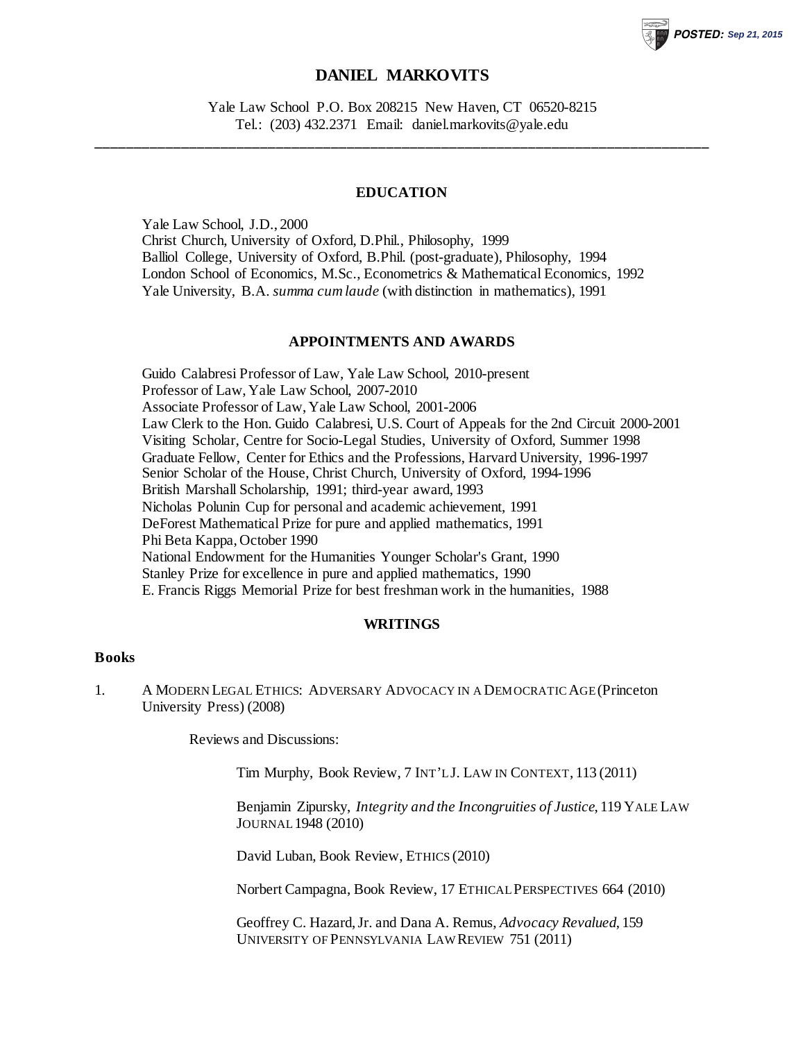# **DANIEL MARKOVITS**

**POSTED: Sep 21, 2015**

Yale Law School P.O. Box 208215 New Haven, CT 06520-8215 Tel.: (203) 432.2371 Email: daniel.markovits@yale.edu

**\_\_\_\_\_\_\_\_\_\_\_\_\_\_\_\_\_\_\_\_\_\_\_\_\_\_\_\_\_\_\_\_\_\_\_\_\_\_\_\_\_\_\_\_\_\_\_\_\_\_\_\_\_\_\_\_\_\_\_\_\_\_\_\_\_\_\_\_\_\_\_\_\_\_\_\_\_\_**

### **EDUCATION**

Yale Law School, J.D., 2000 Christ Church, University of Oxford, D.Phil., Philosophy, 1999 Balliol College, University of Oxford, B.Phil. (post-graduate), Philosophy, 1994 London School of Economics, M.Sc., Econometrics & Mathematical Economics, 1992 Yale University, B.A. *summa cum laude* (with distinction in mathematics), 1991

## **APPOINTMENTS AND AWARDS**

Guido Calabresi Professor of Law, Yale Law School, 2010-present Professor of Law, Yale Law School, 2007-2010 Associate Professor of Law, Yale Law School, 2001-2006 Law Clerk to the Hon. Guido Calabresi, U.S. Court of Appeals for the 2nd Circuit 2000-2001 Visiting Scholar, Centre for Socio-Legal Studies, University of Oxford, Summer 1998 Graduate Fellow, Center for Ethics and the Professions, Harvard University, 1996-1997 Senior Scholar of the House, Christ Church, University of Oxford, 1994-1996 British Marshall Scholarship, 1991; third-year award, 1993 Nicholas Polunin Cup for personal and academic achievement, 1991 DeForest Mathematical Prize for pure and applied mathematics, 1991 Phi Beta Kappa, October 1990 National Endowment for the Humanities Younger Scholar's Grant, 1990 Stanley Prize for excellence in pure and applied mathematics, 1990 E. Francis Riggs Memorial Prize for best freshman work in the humanities, 1988

#### **WRITINGS**

## **Books**

1. A MODERN LEGAL ETHICS: ADVERSARY ADVOCACY IN A DEMOCRATIC AGE (Princeton University Press) (2008)

Reviews and Discussions:

Tim Murphy, Book Review, 7 INT'L J. LAW IN CONTEXT, 113 (2011)

Benjamin Zipursky, *Integrity and the Incongruities of Justice*, 119 YALE LAW JOURNAL1948 (2010)

David Luban, Book Review, ETHICS (2010)

Norbert Campagna, Book Review, 17 ETHICAL PERSPECTIVES 664 (2010)

Geoffrey C. Hazard, Jr. and Dana A. Remus, *Advocacy Revalued*, 159 UNIVERSITY OF PENNSYLVANIA LAW REVIEW 751 (2011)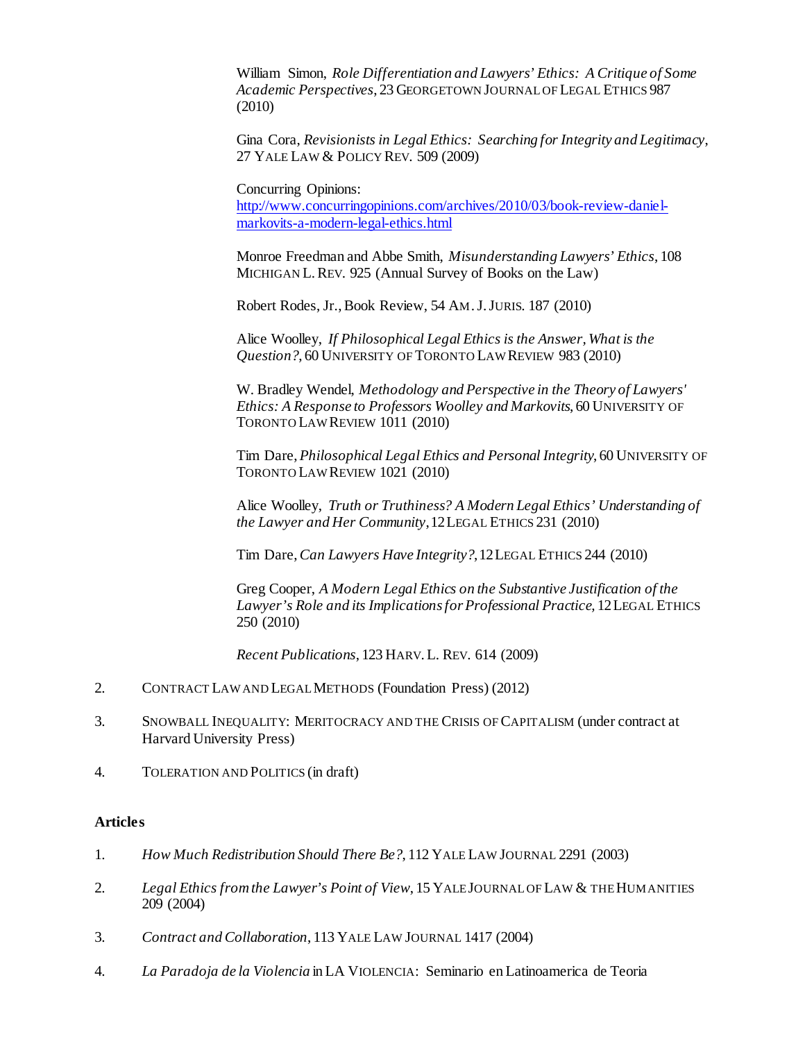William Simon, *Role Differentiation and Lawyers' Ethics: A Critique of Some Academic Perspectives*, 23 GEORGETOWN JOURNAL OF LEGAL ETHICS 987 (2010)

Gina Cora, *Revisionists in Legal Ethics: Searching for Integrity and Legitimacy*, 27 YALE LAW & POLICY REV. 509 (2009)

Concurring Opinions:

[http://www.concurringopinions.com/archives/2010/03/book-review-daniel](http://www.concurringopinions.com/archives/2010/03/book-review-daniel-markovits-a-modern-legal-ethics.html)[markovits-a-modern-legal-ethics.html](http://www.concurringopinions.com/archives/2010/03/book-review-daniel-markovits-a-modern-legal-ethics.html)

Monroe Freedman and Abbe Smith, *Misunderstanding Lawyers' Ethics*, 108 MICHIGAN L.REV. 925 (Annual Survey of Books on the Law)

Robert Rodes, Jr., Book Review, 54 AM.J.JURIS. 187 (2010)

Alice Woolley, *If Philosophical Legal Ethics is the Answer, What is the Question?*, 60 UNIVERSITY OF TORONTO LAW REVIEW 983 (2010)

W. Bradley Wendel, *Methodology and Perspective in the Theory of Lawyers' Ethics: A Response to Professors Woolley and Markovits*, 60 UNIVERSITY OF TORONTO LAW REVIEW 1011 (2010)

Tim Dare, *Philosophical Legal Ethics and Personal Integrity*, 60 UNIVERSITY OF TORONTO LAW REVIEW 1021 (2010)

Alice Woolley, *Truth or Truthiness? A Modern Legal Ethics' Understanding of the Lawyer and Her Community*,12LEGAL ETHICS 231 (2010)

Tim Dare, *Can Lawyers Have Integrity?*,12LEGAL ETHICS 244 (2010)

Greg Cooper, *A Modern Legal Ethics on the Substantive Justification of the Lawyer's Role and its Implications for Professional Practice,* 12LEGAL ETHICS 250 (2010)

*Recent Publications*, 123 HARV.L. REV. 614 (2009)

- 2. CONTRACT LAW AND LEGAL METHODS (Foundation Press) (2012)
- 3. SNOWBALL INEQUALITY: MERITOCRACY AND THE CRISIS OF CAPITALISM (under contract at Harvard University Press)
- 4. TOLERATION AND POLITICS (in draft)

#### **Articles**

- 1. *How Much Redistribution Should There Be?*, 112 YALE LAW JOURNAL 2291 (2003)
- 2. *Legal Ethics from the Lawyer's Point of View*, 15 YALE JOURNAL OF LAW & THE HUMANITIES 209 (2004)
- 3. *Contract and Collaboration*, 113 YALE LAW JOURNAL 1417 (2004)
- 4. *La Paradoja de la Violencia* in LA VIOLENCIA: Seminario en Latinoamerica de Teoria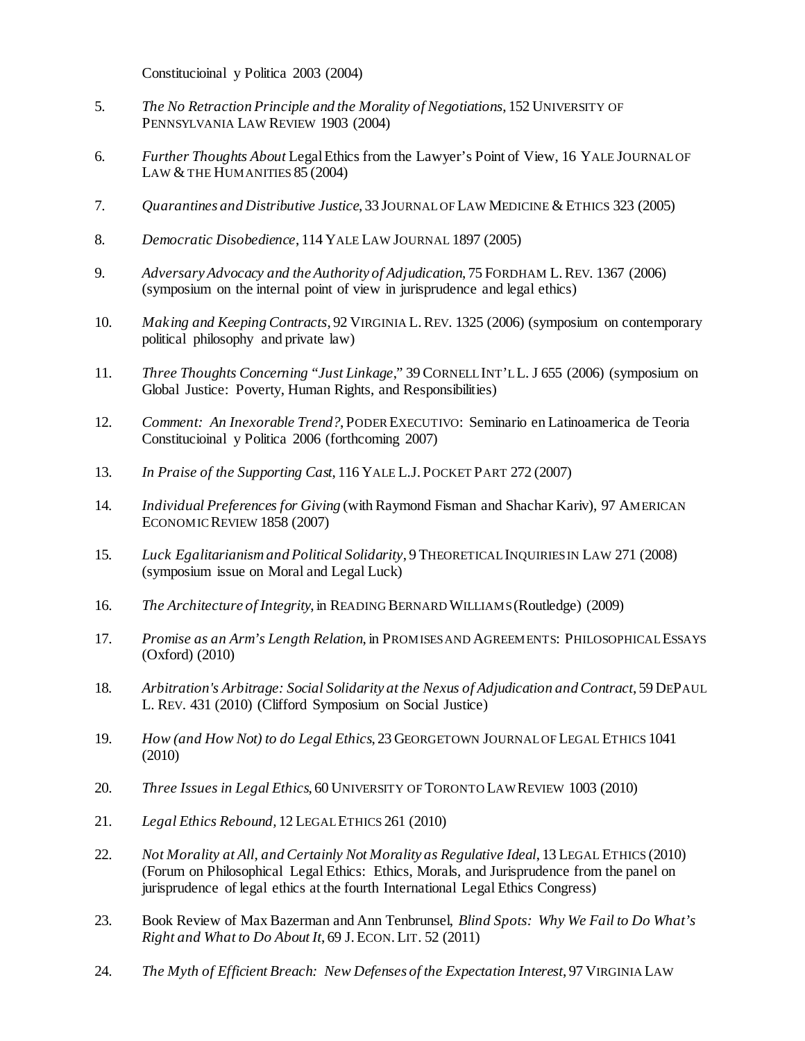Constitucioinal y Politica 2003 (2004)

- 5. *The No Retraction Principle and the Morality of Negotiations*, 152 UNIVERSITY OF PENNSYLVANIA LAW REVIEW 1903 (2004)
- 6. *Further Thoughts About* Legal Ethics from the Lawyer's Point of View, 16 YALE JOURNAL OF LAW  $&$  THE HUM ANITIES  $85(2004)$
- 7. Ouarantines and Distributive Justice, 33 JOURNAL OF LAW MEDICINE & ETHICS 323 (2005)
- 8. *Democratic Disobedience*, 114 YALE LAW JOURNAL 1897 (2005)
- 9. *Adversary Advocacy and the Authority of Adjudication*, 75 FORDHAM L.REV. 1367 (2006) (symposium on the internal point of view in jurisprudence and legal ethics)
- 10. *Making and Keeping Contracts*, 92 VIRGINIA L.REV. 1325 (2006) (symposium on contemporary political philosophy and private law)
- 11. *Three Thoughts Concerning "Just Linkage*," 39 CORNELL INT'L L. J 655 (2006) (symposium on Global Justice: Poverty, Human Rights, and Responsibilities)
- 12. *Comment: An Inexorable Trend?*, PODER EXECUTIVO: Seminario en Latinoamerica de Teoria Constitucioinal y Politica 2006 (forthcoming 2007)
- 13. *In Praise of the Supporting Cast*, 116 YALE L.J. POCKET PART 272 (2007)
- 14. *Individual Preferences for Giving* (with Raymond Fisman and Shachar Kariv), 97 AMERICAN ECONOMIC REVIEW 1858 (2007)
- 15. *Luck Egalitarianism and Political Solidarity*, 9 THEORETICAL INQUIRIES IN LAW 271 (2008) (symposium issue on Moral and Legal Luck)
- 16. *The Architecture of Integrity*, in READING BERNARD WILLIAMS (Routledge) (2009)
- 17. *Promise as an Arm's Length Relation*, in PROMISES AND AGREEMENTS: PHILOSOPHICAL ESSAYS (Oxford) (2010)
- 18. *Arbitration's Arbitrage: Social Solidarity at the Nexus of Adjudication and Contract*, 59 DEPAUL L. REV. 431 (2010) (Clifford Symposium on Social Justice)
- 19. *How (and How Not) to do Legal Ethics*, 23 GEORGETOWN JOURNAL OF LEGAL ETHICS 1041 (2010)
- 20. *Three Issues in Legal Ethics*, 60 UNIVERSITY OF TORONTO LAW REVIEW 1003 (2010)
- 21. *Legal Ethics Rebound,* 12 LEGAL ETHICS 261 (2010)
- 22. *Not Morality at All, and Certainly Not Morality as Regulative Ideal*, 13 LEGAL ETHICS (2010) (Forum on Philosophical Legal Ethics: Ethics, Morals, and Jurisprudence from the panel on jurisprudence of legal ethics at the fourth International Legal Ethics Congress)
- 23. Book Review of Max Bazerman and Ann Tenbrunsel, *Blind Spots: Why We Fail to Do What's Right and What to Do About It*, 69 J.ECON.LIT. 52 (2011)
- 24. *The Myth of Efficient Breach: New Defenses of the Expectation Interest*, 97 VIRGINIA LAW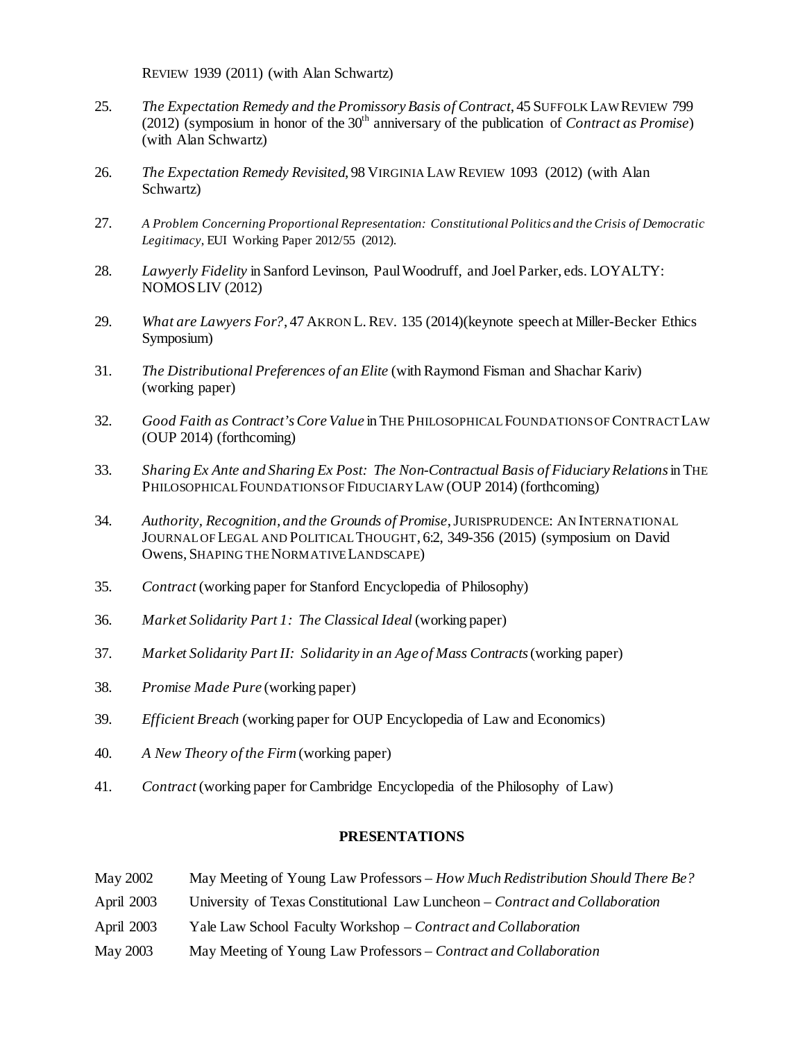REVIEW 1939 (2011) (with Alan Schwartz)

- 25. *The Expectation Remedy and the Promissory Basis of Contract*, 45 SUFFOLK LAW REVIEW 799 (2012) (symposium in honor of the  $30<sup>th</sup>$  anniversary of the publication of *Contract as Promise*) (with Alan Schwartz)
- 26. *The Expectation Remedy Revisited*, 98 VIRGINIA LAW REVIEW 1093 (2012) (with Alan Schwartz)
- 27. *A Problem Concerning Proportional Representation: Constitutional Politics and the Crisis of Democratic Legitimacy*, EUI Working Paper 2012/55 (2012).
- 28. *Lawyerly Fidelity* in Sanford Levinson, Paul Woodruff, and Joel Parker, eds. LOYALTY: NOMOSLIV (2012)
- 29. *What are Lawyers For?*, 47 AKRON L.REV. 135 (2014)(keynote speech at Miller-Becker Ethics Symposium)
- 31. *The Distributional Preferences of an Elite* (with Raymond Fisman and Shachar Kariv) (working paper)
- 32. *Good Faith as Contract's Core Value* in THE PHILOSOPHICAL FOUNDATIONSOF CONTRACT LAW (OUP 2014) (forthcoming)
- 33. *Sharing Ex Ante and Sharing Ex Post: The Non-Contractual Basis of Fiduciary Relations*in THE PHILOSOPHICAL FOUNDATIONS OF FIDUCIARY LAW (OUP 2014) (forthcoming)
- 34. *Authority, Recognition, and the Grounds of Promise*, JURISPRUDENCE: AN INTERNATIONAL JOURNAL OF LEGAL AND POLITICAL THOUGHT, 6:2, 349-356 (2015) (symposium on David Owens, SHAPING THE NORMATIVE LANDSCAPE)
- 35. *Contract* (working paper for Stanford Encyclopedia of Philosophy)
- 36. *Market Solidarity Part 1: The Classical Ideal* (working paper)
- 37. *Market Solidarity Part II: Solidarity in an Age of Mass Contracts*(working paper)
- 38. *Promise Made Pure* (working paper)
- 39. *Efficient Breach* (working paper for OUP Encyclopedia of Law and Economics)
- 40. *A New Theory of the Firm*(working paper)
- 41. *Contract* (working paper for Cambridge Encyclopedia of the Philosophy of Law)

## **PRESENTATIONS**

- May 2002 May Meeting of Young Law Professors *How Much Redistribution Should There Be?*
- April 2003 University of Texas Constitutional Law Luncheon *Contract and Collaboration*
- April 2003 Yale Law School Faculty Workshop *Contract and Collaboration*
- May 2003 May Meeting of Young Law Professors *Contract and Collaboration*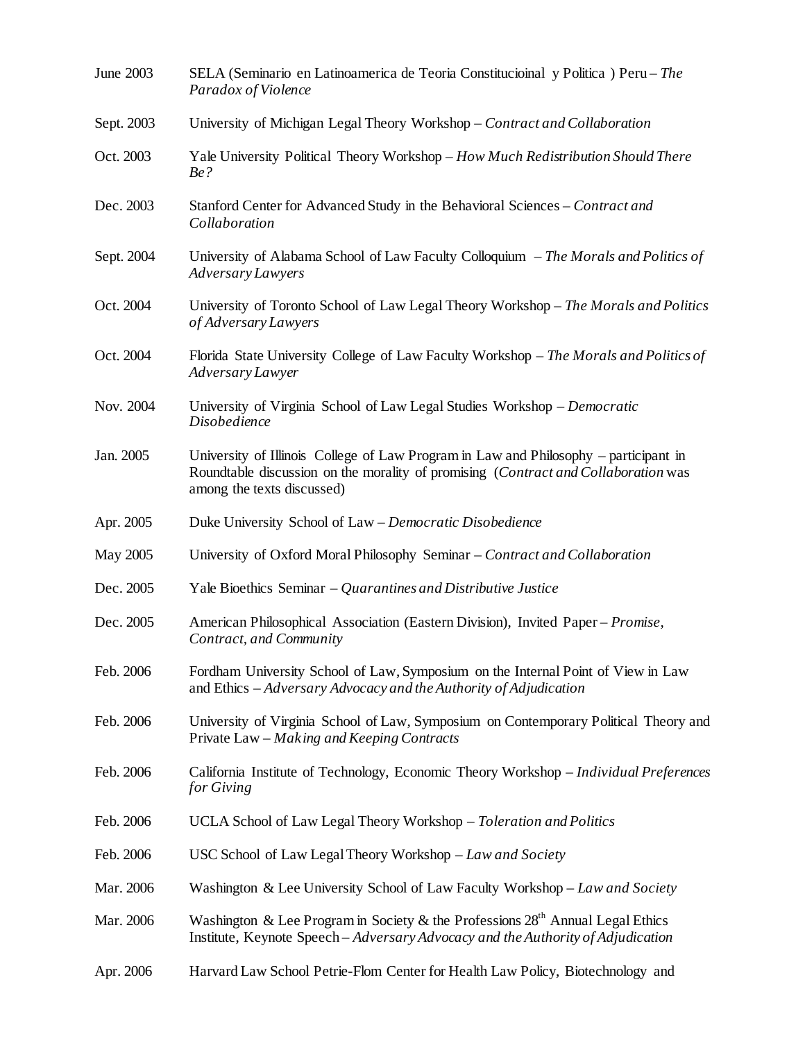| June 2003  | SELA (Seminario en Latinoamerica de Teoria Constitucioinal y Politica) Peru - The<br>Paradox of Violence                                                                                                 |
|------------|----------------------------------------------------------------------------------------------------------------------------------------------------------------------------------------------------------|
| Sept. 2003 | University of Michigan Legal Theory Workshop - Contract and Collaboration                                                                                                                                |
| Oct. 2003  | Yale University Political Theory Workshop - How Much Redistribution Should There<br>Be?                                                                                                                  |
| Dec. 2003  | Stanford Center for Advanced Study in the Behavioral Sciences - Contract and<br>Collaboration                                                                                                            |
| Sept. 2004 | University of Alabama School of Law Faculty Colloquium $-$ The Morals and Politics of<br>Adversary Lawyers                                                                                               |
| Oct. 2004  | University of Toronto School of Law Legal Theory Workshop – The Morals and Politics<br>of Adversary Lawyers                                                                                              |
| Oct. 2004  | Florida State University College of Law Faculty Workshop – The Morals and Politics of<br>Adversary Lawyer                                                                                                |
| Nov. 2004  | University of Virginia School of Law Legal Studies Workshop – Democratic<br>Disobedience                                                                                                                 |
| Jan. 2005  | University of Illinois College of Law Program in Law and Philosophy – participant in<br>Roundtable discussion on the morality of promising (Contract and Collaboration was<br>among the texts discussed) |
| Apr. 2005  | Duke University School of Law - Democratic Disobedience                                                                                                                                                  |
| May 2005   | University of Oxford Moral Philosophy Seminar – Contract and Collaboration                                                                                                                               |
| Dec. 2005  | Yale Bioethics Seminar – Quarantines and Distributive Justice                                                                                                                                            |
| Dec. 2005  | American Philosophical Association (Eastern Division), Invited Paper - Promise,<br>Contract, and Community                                                                                               |
| Feb. 2006  | Fordham University School of Law, Symposium on the Internal Point of View in Law<br>and Ethics – Adversary Advocacy and the Authority of Adjudication                                                    |
| Feb. 2006  | University of Virginia School of Law, Symposium on Contemporary Political Theory and<br>Private Law – Making and Keeping Contracts                                                                       |
| Feb. 2006  | California Institute of Technology, Economic Theory Workshop - Individual Preferences<br>for Giving                                                                                                      |
| Feb. 2006  | UCLA School of Law Legal Theory Workshop - Toleration and Politics                                                                                                                                       |
| Feb. 2006  | USC School of Law Legal Theory Workshop - Law and Society                                                                                                                                                |
| Mar. 2006  | Washington & Lee University School of Law Faculty Workshop - Law and Society                                                                                                                             |
| Mar. 2006  | Washington & Lee Program in Society & the Professions 28 <sup>th</sup> Annual Legal Ethics<br>Institute, Keynote Speech - Adversary Advocacy and the Authority of Adjudication                           |
| Apr. 2006  | Harvard Law School Petrie-Flom Center for Health Law Policy, Biotechnology and                                                                                                                           |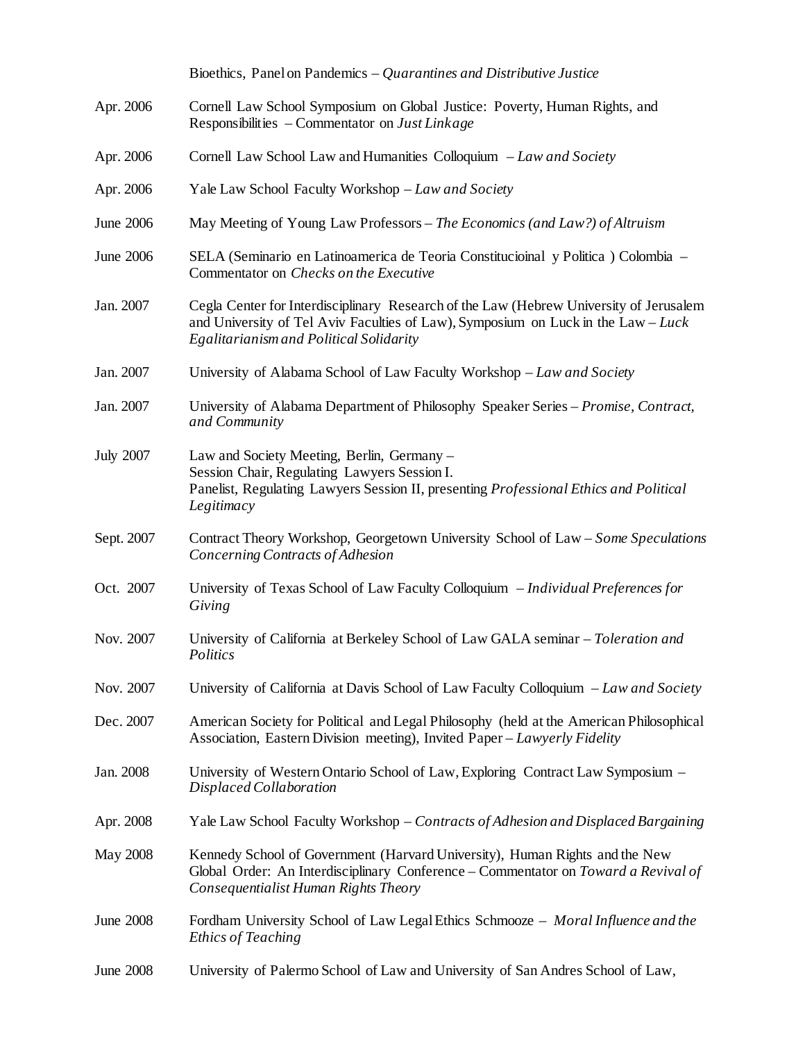|                  | Bioethics, Panel on Pandemics $-Qu$ arantines and Distributive Justice                                                                                                                                                 |
|------------------|------------------------------------------------------------------------------------------------------------------------------------------------------------------------------------------------------------------------|
| Apr. 2006        | Cornell Law School Symposium on Global Justice: Poverty, Human Rights, and<br>Responsibilities – Commentator on Just Linkage                                                                                           |
| Apr. 2006        | Cornell Law School Law and Humanities Colloquium - Law and Society                                                                                                                                                     |
| Apr. 2006        | Yale Law School Faculty Workshop - Law and Society                                                                                                                                                                     |
| June 2006        | May Meeting of Young Law Professors – The Economics (and Law?) of Altruism                                                                                                                                             |
| June 2006        | SELA (Seminario en Latinoamerica de Teoria Constitucional y Politica) Colombia -<br>Commentator on Checks on the Executive                                                                                             |
| Jan. 2007        | Cegla Center for Interdisciplinary Research of the Law (Hebrew University of Jerusalem<br>and University of Tel Aviv Faculties of Law), Symposium on Luck in the $Law-Luck$<br>Egalitarianism and Political Solidarity |
| Jan. 2007        | University of Alabama School of Law Faculty Workshop – Law and Society                                                                                                                                                 |
| Jan. 2007        | University of Alabama Department of Philosophy Speaker Series – Promise, Contract,<br>and Community                                                                                                                    |
| <b>July 2007</b> | Law and Society Meeting, Berlin, Germany -<br>Session Chair, Regulating Lawyers Session I.<br>Panelist, Regulating Lawyers Session II, presenting Professional Ethics and Political<br>Legitimacy                      |
| Sept. 2007       | Contract Theory Workshop, Georgetown University School of Law – Some Speculations<br>Concerning Contracts of Adhesion                                                                                                  |
| Oct. 2007        | University of Texas School of Law Faculty Colloquium - Individual Preferences for<br>Giving                                                                                                                            |
| Nov. 2007        | University of California at Berkeley School of Law GALA seminar - Toleration and<br>Politics                                                                                                                           |
| Nov. 2007        | University of California at Davis School of Law Faculty Colloquium $-Law$ and Society                                                                                                                                  |
| Dec. 2007        | American Society for Political and Legal Philosophy (held at the American Philosophical<br>Association, Eastern Division meeting), Invited Paper – Lawyerly Fidelity                                                   |
| Jan. 2008        | University of Western Ontario School of Law, Exploring Contract Law Symposium –<br>Displaced Collaboration                                                                                                             |
| Apr. 2008        | Yale Law School Faculty Workshop – Contracts of Adhesion and Displaced Bargaining                                                                                                                                      |
| May 2008         | Kennedy School of Government (Harvard University), Human Rights and the New<br>Global Order: An Interdisciplinary Conference - Commentator on Toward a Revival of<br>Consequentialist Human Rights Theory              |
| <b>June 2008</b> | Fordham University School of Law Legal Ethics Schmooze - Moral Influence and the<br>Ethics of Teaching                                                                                                                 |
| <b>June 2008</b> | University of Palermo School of Law and University of San Andres School of Law,                                                                                                                                        |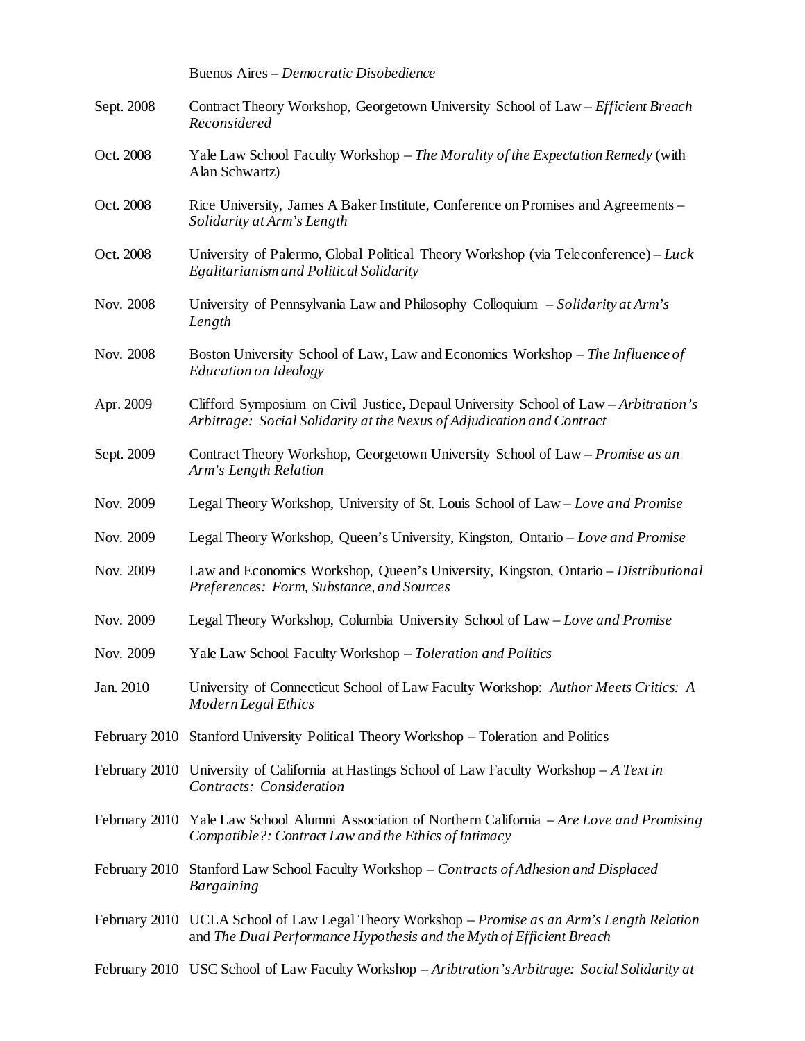|            | Buenos Aires - Democratic Disobedience                                                                                                                               |
|------------|----------------------------------------------------------------------------------------------------------------------------------------------------------------------|
| Sept. 2008 | Contract Theory Workshop, Georgetown University School of Law – Efficient Breach<br>Reconsidered                                                                     |
| Oct. 2008  | Yale Law School Faculty Workshop - The Morality of the Expectation Remedy (with<br>Alan Schwartz)                                                                    |
| Oct. 2008  | Rice University, James A Baker Institute, Conference on Promises and Agreements –<br>Solidarity at Arm's Length                                                      |
| Oct. 2008  | University of Palermo, Global Political Theory Workshop (via Teleconference) – Luck<br>Egalitarianism and Political Solidarity                                       |
| Nov. 2008  | University of Pennsylvania Law and Philosophy Colloquium – Solidarity at Arm's<br>Length                                                                             |
| Nov. 2008  | Boston University School of Law, Law and Economics Workshop – The Influence of<br>Education on Ideology                                                              |
| Apr. 2009  | Clifford Symposium on Civil Justice, Depaul University School of Law – Arbitration's<br>Arbitrage: Social Solidarity at the Nexus of Adjudication and Contract       |
| Sept. 2009 | Contract Theory Workshop, Georgetown University School of Law – Promise as an<br>Arm's Length Relation                                                               |
| Nov. 2009  | Legal Theory Workshop, University of St. Louis School of Law – Love and Promise                                                                                      |
| Nov. 2009  | Legal Theory Workshop, Queen's University, Kingston, Ontario - Love and Promise                                                                                      |
| Nov. 2009  | Law and Economics Workshop, Queen's University, Kingston, Ontario – Distributional<br>Preferences: Form, Substance, and Sources                                      |
| Nov. 2009  | Legal Theory Workshop, Columbia University School of Law – Love and Promise                                                                                          |
| Nov. 2009  | Yale Law School Faculty Workshop - Toleration and Politics                                                                                                           |
| Jan. 2010  | University of Connecticut School of Law Faculty Workshop: Author Meets Critics: A<br>Modern Legal Ethics                                                             |
|            | February 2010 Stanford University Political Theory Workshop – Toleration and Politics                                                                                |
|            | February 2010 University of California at Hastings School of Law Faculty Workshop $-A$ Text in<br>Contracts: Consideration                                           |
|            | February 2010 Yale Law School Alumni Association of Northern California – Are Love and Promising<br>Compatible?: Contract Law and the Ethics of Intimacy             |
|            | February 2010 Stanford Law School Faculty Workshop - Contracts of Adhesion and Displaced<br><b>Bargaining</b>                                                        |
|            | February 2010 UCLA School of Law Legal Theory Workshop – Promise as an Arm's Length Relation<br>and The Dual Performance Hypothesis and the Myth of Efficient Breach |
|            |                                                                                                                                                                      |

February 2010 USC School of Law Faculty Workshop – *Aribtration's Arbitrage: Social Solidarity at*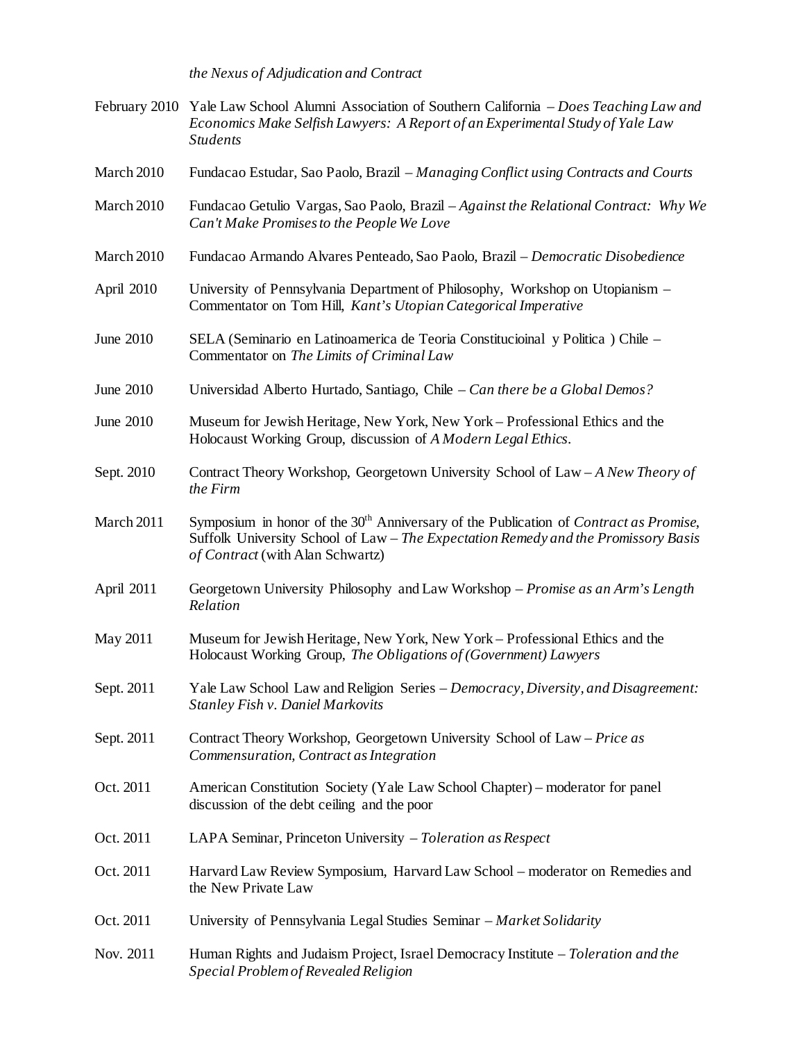*the Nexus of Adjudication and Contract*

- February 2010 Yale Law School Alumni Association of Southern California *Does Teaching Law and Economics Make Selfish Lawyers: A Report of an Experimental Study of Yale Law Students*
- March 2010 Fundacao Estudar, Sao Paolo, Brazil *Managing Conflict using Contracts and Courts*
- March 2010 Fundacao Getulio Vargas, Sao Paolo, Brazil *Against the Relational Contract: Why We Can't Make Promises to the People We Love*
- March 2010 Fundacao Armando Alvares Penteado, Sao Paolo, Brazil *Democratic Disobedience*
- April 2010 University of Pennsylvania Department of Philosophy, Workshop on Utopianism Commentator on Tom Hill, *Kant's Utopian Categorical Imperative*
- June 2010 SELA (Seminario en Latinoamerica de Teoria Constitucioinal y Politica ) Chile Commentator on *The Limits of Criminal Law*
- June 2010 Universidad Alberto Hurtado, Santiago, Chile *Can there be a Global Demos?*
- June 2010 Museum for Jewish Heritage, New York, New York Professional Ethics and the Holocaust Working Group, discussion of *A Modern Legal Ethics*.
- Sept. 2010 Contract Theory Workshop, Georgetown University School of Law *A New Theory of the Firm*
- March 2011 Symposium in honor of the 30<sup>th</sup> Anniversary of the Publication of *Contract as Promise*, Suffolk University School of Law – *The Expectation Remedy and the Promissory Basis of Contract* (with Alan Schwartz)
- April 2011 Georgetown University Philosophy and Law Workshop *Promise as an Arm's Length Relation*
- May 2011 Museum for Jewish Heritage, New York, New York Professional Ethics and the Holocaust Working Group, *The Obligations of (Government) Lawyers*
- Sept. 2011 Yale Law School Law and Religion Series *Democracy, Diversity, and Disagreement: Stanley Fish v. Daniel Markovits*
- Sept. 2011 Contract Theory Workshop, Georgetown University School of Law *Price as Commensuration, Contract as Integration*
- Oct. 2011 American Constitution Society (Yale Law School Chapter) moderator for panel discussion of the debt ceiling and the poor
- Oct. 2011 LAPA Seminar, Princeton University *Toleration as Respect*
- Oct. 2011 Harvard Law Review Symposium, Harvard Law School moderator on Remedies and the New Private Law
- Oct. 2011 University of Pennsylvania Legal Studies Seminar *Market Solidarity*
- Nov. 2011 Human Rights and Judaism Project, Israel Democracy Institute *Toleration and the Special Problem of Revealed Religion*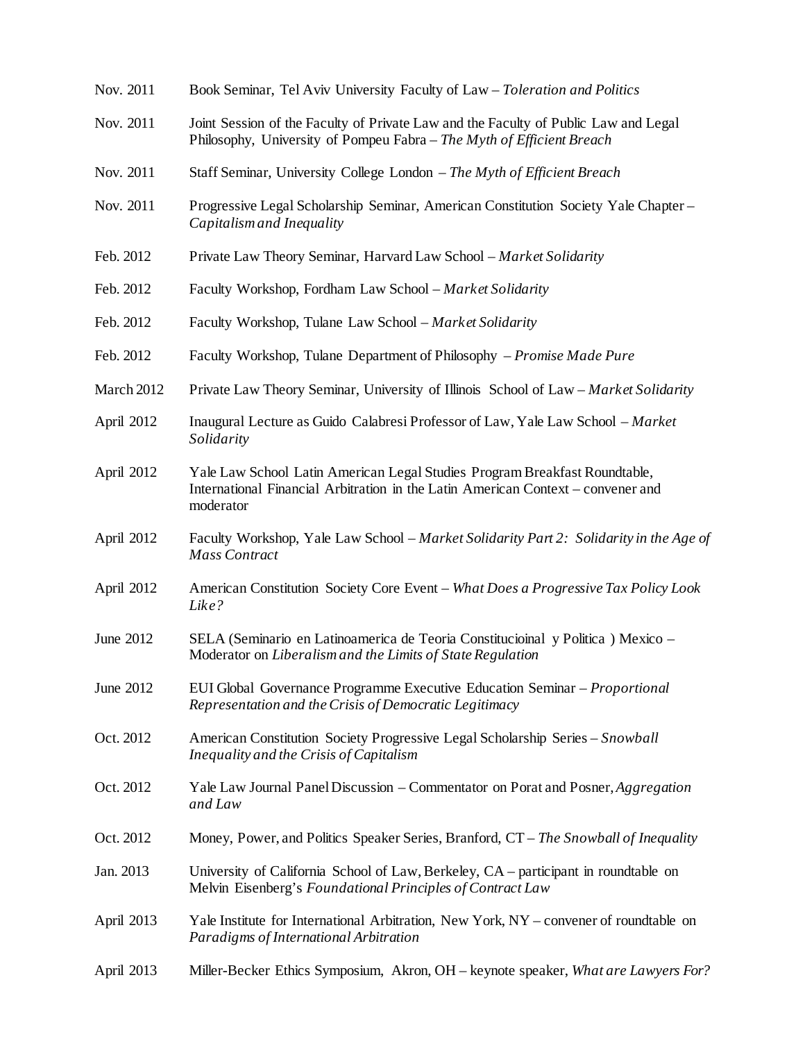| Nov. 2011  | Book Seminar, Tel Aviv University Faculty of Law - Toleration and Politics                                                                                                  |
|------------|-----------------------------------------------------------------------------------------------------------------------------------------------------------------------------|
| Nov. 2011  | Joint Session of the Faculty of Private Law and the Faculty of Public Law and Legal<br>Philosophy, University of Pompeu Fabra - The Myth of Efficient Breach                |
| Nov. 2011  | Staff Seminar, University College London – The Myth of Efficient Breach                                                                                                     |
| Nov. 2011  | Progressive Legal Scholarship Seminar, American Constitution Society Yale Chapter –<br>Capitalism and Inequality                                                            |
| Feb. 2012  | Private Law Theory Seminar, Harvard Law School – Market Solidarity                                                                                                          |
| Feb. 2012  | Faculty Workshop, Fordham Law School - Market Solidarity                                                                                                                    |
| Feb. 2012  | Faculty Workshop, Tulane Law School – Market Solidarity                                                                                                                     |
| Feb. 2012  | Faculty Workshop, Tulane Department of Philosophy - Promise Made Pure                                                                                                       |
| March 2012 | Private Law Theory Seminar, University of Illinois School of Law – Market Solidarity                                                                                        |
| April 2012 | Inaugural Lecture as Guido Calabresi Professor of Law, Yale Law School – Market<br>Solidarity                                                                               |
| April 2012 | Yale Law School Latin American Legal Studies Program Breakfast Roundtable,<br>International Financial Arbitration in the Latin American Context – convener and<br>moderator |
| April 2012 | Faculty Workshop, Yale Law School – Market Solidarity Part 2: Solidarity in the Age of<br><b>Mass Contract</b>                                                              |
| April 2012 | American Constitution Society Core Event – What Does a Progressive Tax Policy Look<br>Like?                                                                                 |
| June 2012  | SELA (Seminario en Latinoamerica de Teoria Constitucioinal y Politica) Mexico -<br>Moderator on Liberalism and the Limits of State Regulation                               |
| June 2012  | EUI Global Governance Programme Executive Education Seminar – Proportional<br>Representation and the Crisis of Democratic Legitimacy                                        |
| Oct. 2012  | American Constitution Society Progressive Legal Scholarship Series - Snowball<br>Inequality and the Crisis of Capitalism                                                    |
| Oct. 2012  | Yale Law Journal Panel Discussion – Commentator on Porat and Posner, <i>Aggregation</i><br>and Law                                                                          |
| Oct. 2012  | Money, Power, and Politics Speaker Series, Branford, $CT - The \text{ Snowball of Inequality}$                                                                              |
| Jan. 2013  | University of California School of Law, Berkeley, CA – participant in roundtable on<br>Melvin Eisenberg's Foundational Principles of Contract Law                           |
| April 2013 | Yale Institute for International Arbitration, New York, NY – convener of roundtable on<br>Paradigms of International Arbitration                                            |
| April 2013 | Miller-Becker Ethics Symposium, Akron, OH - keynote speaker, What are Lawyers For?                                                                                          |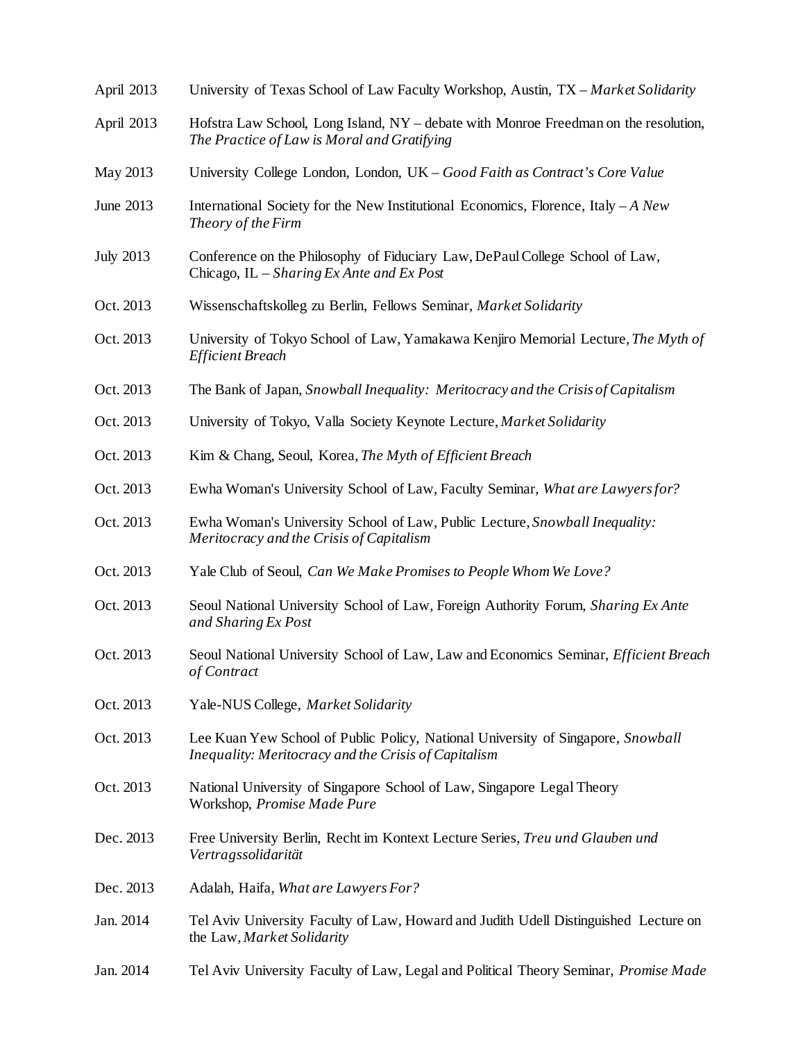| April 2013       | University of Texas School of Law Faculty Workshop, Austin, TX – Market Solidarity                                                       |
|------------------|------------------------------------------------------------------------------------------------------------------------------------------|
| April 2013       | Hofstra Law School, Long Island, NY - debate with Monroe Freedman on the resolution,<br>The Practice of Law is Moral and Gratifying      |
| May 2013         | University College London, London, UK - Good Faith as Contract's Core Value                                                              |
| June 2013        | International Society for the New Institutional Economics, Florence, Italy $-A$ New<br>Theory of the Firm                                |
| <b>July 2013</b> | Conference on the Philosophy of Fiduciary Law, DePaul College School of Law,<br>Chicago, IL - Sharing Ex Ante and Ex Post                |
| Oct. 2013        | Wissenschaftskolleg zu Berlin, Fellows Seminar, Market Solidarity                                                                        |
| Oct. 2013        | University of Tokyo School of Law, Yamakawa Kenjiro Memorial Lecture, The Myth of<br><b>Efficient Breach</b>                             |
| Oct. 2013        | The Bank of Japan, Snowball Inequality: Meritocracy and the Crisis of Capitalism                                                         |
| Oct. 2013        | University of Tokyo, Valla Society Keynote Lecture, Market Solidarity                                                                    |
| Oct. 2013        | Kim & Chang, Seoul, Korea, The Myth of Efficient Breach                                                                                  |
| Oct. 2013        | Ewha Woman's University School of Law, Faculty Seminar, What are Lawyers for?                                                            |
| Oct. 2013        | Ewha Woman's University School of Law, Public Lecture, Snowball Inequality:<br>Meritocracy and the Crisis of Capitalism                  |
| Oct. 2013        | Yale Club of Seoul, Can We Make Promises to People Whom We Love?                                                                         |
| Oct. 2013        | Seoul National University School of Law, Foreign Authority Forum, Sharing Ex Ante<br>and Sharing Ex Post                                 |
| Oct. 2013        | Seoul National University School of Law, Law and Economics Seminar, Efficient Breach<br>of Contract                                      |
| Oct. 2013        | Yale-NUS College, Market Solidarity                                                                                                      |
| Oct. 2013        | Lee Kuan Yew School of Public Policy, National University of Singapore, Snowball<br>Inequality: Meritocracy and the Crisis of Capitalism |
| Oct. 2013        | National University of Singapore School of Law, Singapore Legal Theory<br>Workshop, Promise Made Pure                                    |
| Dec. 2013        | Free University Berlin, Recht im Kontext Lecture Series, Treu und Glauben und<br>Vertragssolidarität                                     |
| Dec. 2013        | Adalah, Haifa, What are Lawyers For?                                                                                                     |
| Jan. 2014        | Tel Aviv University Faculty of Law, Howard and Judith Udell Distinguished Lecture on<br>the Law, Market Solidarity                       |
| Jan. 2014        | Tel Aviv University Faculty of Law, Legal and Political Theory Seminar, Promise Made                                                     |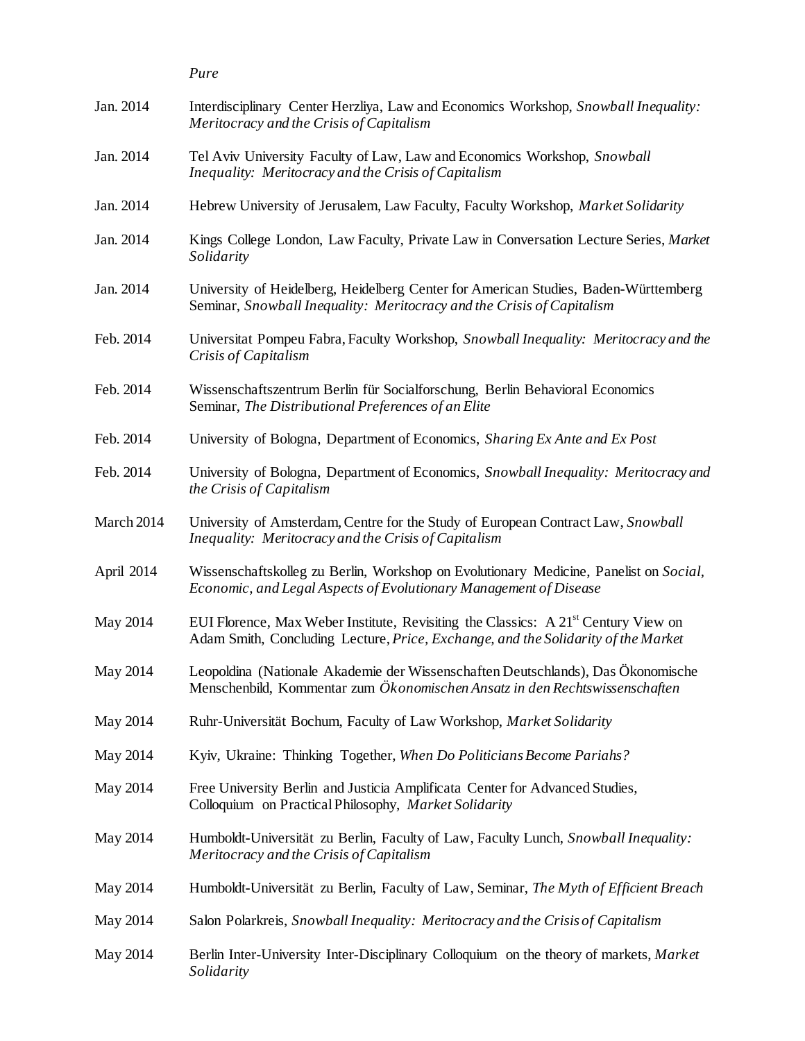|            | Pure                                                                                                                                                                      |
|------------|---------------------------------------------------------------------------------------------------------------------------------------------------------------------------|
| Jan. 2014  | Interdisciplinary Center Herzliya, Law and Economics Workshop, Snowball Inequality:<br>Meritocracy and the Crisis of Capitalism                                           |
| Jan. 2014  | Tel Aviv University Faculty of Law, Law and Economics Workshop, Snowball<br>Inequality: Meritocracy and the Crisis of Capitalism                                          |
| Jan. 2014  | Hebrew University of Jerusalem, Law Faculty, Faculty Workshop, Market Solidarity                                                                                          |
| Jan. 2014  | Kings College London, Law Faculty, Private Law in Conversation Lecture Series, Market<br>Solidarity                                                                       |
| Jan. 2014  | University of Heidelberg, Heidelberg Center for American Studies, Baden-Württemberg<br>Seminar, Snowball Inequality: Meritocracy and the Crisis of Capitalism             |
| Feb. 2014  | Universitat Pompeu Fabra, Faculty Workshop, Snowball Inequality: Meritocracy and the<br>Crisis of Capitalism                                                              |
| Feb. 2014  | Wissenschaftszentrum Berlin für Socialforschung, Berlin Behavioral Economics<br>Seminar, The Distributional Preferences of an Elite                                       |
| Feb. 2014  | University of Bologna, Department of Economics, Sharing Ex Ante and Ex Post                                                                                               |
| Feb. 2014  | University of Bologna, Department of Economics, Snowball Inequality: Meritocracy and<br>the Crisis of Capitalism                                                          |
| March 2014 | University of Amsterdam, Centre for the Study of European Contract Law, Snowball<br>Inequality: Meritocracy and the Crisis of Capitalism                                  |
| April 2014 | Wissenschaftskolleg zu Berlin, Workshop on Evolutionary Medicine, Panelist on Social,<br>Economic, and Legal Aspects of Evolutionary Management of Disease                |
| May 2014   | EUI Florence, Max Weber Institute, Revisiting the Classics: A $21st$ Century View on<br>Adam Smith, Concluding Lecture, Price, Exchange, and the Solidarity of the Market |
| May 2014   | Leopoldina (Nationale Akademie der Wissenschaften Deutschlands), Das Ökonomische<br>Menschenbild, Kommentar zum Ökonomischen Ansatz in den Rechtswissenschaften           |
| May 2014   | Ruhr-Universität Bochum, Faculty of Law Workshop, Market Solidarity                                                                                                       |
| May 2014   | Kyiv, Ukraine: Thinking Together, When Do Politicians Become Pariahs?                                                                                                     |
| May 2014   | Free University Berlin and Justicia Amplificata Center for Advanced Studies,<br>Colloquium on Practical Philosophy, Market Solidarity                                     |
| May 2014   | Humboldt-Universität zu Berlin, Faculty of Law, Faculty Lunch, Snowball Inequality:<br>Meritocracy and the Crisis of Capitalism                                           |
| May 2014   | Humboldt-Universität zu Berlin, Faculty of Law, Seminar, The Myth of Efficient Breach                                                                                     |
| May 2014   | Salon Polarkreis, Snowball Inequality: Meritocracy and the Crisis of Capitalism                                                                                           |
| May 2014   | Berlin Inter-University Inter-Disciplinary Colloquium on the theory of markets, Market<br>Solidarity                                                                      |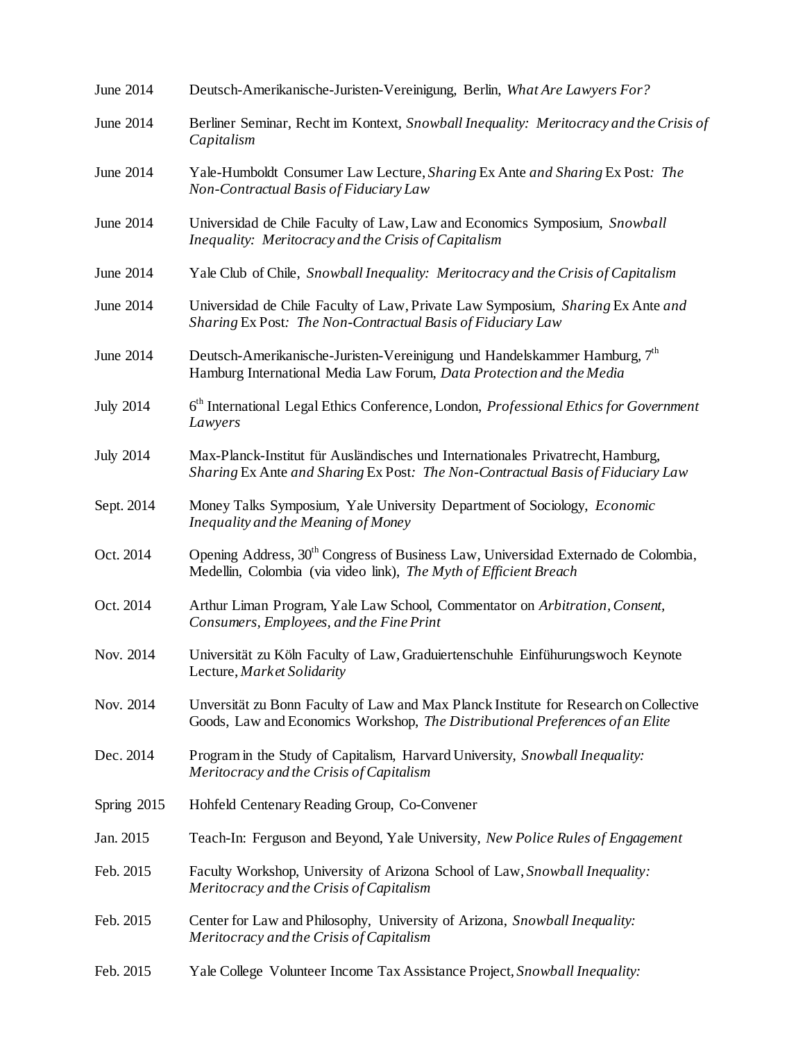| June 2014        | Deutsch-Amerikanische-Juristen-Vereinigung, Berlin, What Are Lawyers For?                                                                                              |
|------------------|------------------------------------------------------------------------------------------------------------------------------------------------------------------------|
| June 2014        | Berliner Seminar, Recht im Kontext, Snowball Inequality: Meritocracy and the Crisis of<br>Capitalism                                                                   |
| June 2014        | Yale-Humboldt Consumer Law Lecture, Sharing Ex Ante and Sharing Ex Post: The<br>Non-Contractual Basis of Fiduciary Law                                                 |
| June 2014        | Universidad de Chile Faculty of Law, Law and Economics Symposium, Snowball<br>Inequality: Meritocracy and the Crisis of Capitalism                                     |
| June 2014        | Yale Club of Chile, Snowball Inequality: Meritocracy and the Crisis of Capitalism                                                                                      |
| June 2014        | Universidad de Chile Faculty of Law, Private Law Symposium, Sharing Ex Ante and<br>Sharing Ex Post: The Non-Contractual Basis of Fiduciary Law                         |
| June 2014        | Deutsch-Amerikanische-Juristen-Vereinigung und Handelskammer Hamburg, $7th$<br>Hamburg International Media Law Forum, Data Protection and the Media                    |
| <b>July 2014</b> | 6 <sup>th</sup> International Legal Ethics Conference, London, <i>Professional Ethics for Government</i><br>Lawyers                                                    |
| <b>July 2014</b> | Max-Planck-Institut für Ausländisches und Internationales Privatrecht, Hamburg,<br>Sharing Ex Ante and Sharing Ex Post: The Non-Contractual Basis of Fiduciary Law     |
| Sept. 2014       | Money Talks Symposium, Yale University Department of Sociology, Economic<br>Inequality and the Meaning of Money                                                        |
| Oct. 2014        | Opening Address, 30 <sup>th</sup> Congress of Business Law, Universidad Externado de Colombia,<br>Medellin, Colombia (via video link), The Myth of Efficient Breach    |
| Oct. 2014        | Arthur Liman Program, Yale Law School, Commentator on Arbitration, Consent,<br>Consumers, Employees, and the Fine Print                                                |
| Nov. 2014        | Universität zu Köln Faculty of Law, Graduiertenschuhle Einfühurungswoch Keynote<br>Lecture, Market Solidarity                                                          |
| Nov. 2014        | Unversität zu Bonn Faculty of Law and Max Planck Institute for Research on Collective<br>Goods, Law and Economics Workshop, The Distributional Preferences of an Elite |
| Dec. 2014        | Program in the Study of Capitalism, Harvard University, Snowball Inequality:<br>Meritocracy and the Crisis of Capitalism                                               |
| Spring 2015      | Hohfeld Centenary Reading Group, Co-Convener                                                                                                                           |
| Jan. 2015        | Teach-In: Ferguson and Beyond, Yale University, New Police Rules of Engagement                                                                                         |
| Feb. 2015        | Faculty Workshop, University of Arizona School of Law, Snowball Inequality:<br>Meritocracy and the Crisis of Capitalism                                                |
| Feb. 2015        | Center for Law and Philosophy, University of Arizona, Snowball Inequality:<br>Meritocracy and the Crisis of Capitalism                                                 |
| Feb. 2015        | Yale College Volunteer Income Tax Assistance Project, Snowball Inequality:                                                                                             |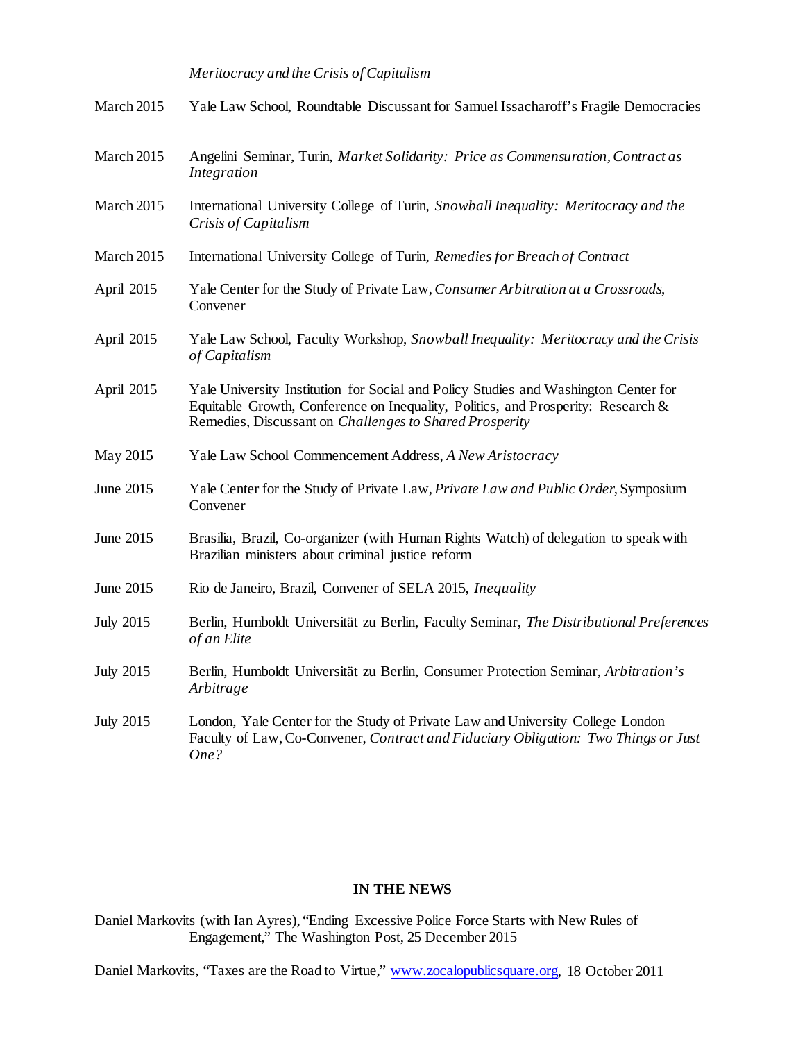## *Meritocracy and the Crisis of Capitalism*

| March 2015       | Yale Law School, Roundtable Discussant for Samuel Issacharoff's Fragile Democracies                                                                                                                                                |
|------------------|------------------------------------------------------------------------------------------------------------------------------------------------------------------------------------------------------------------------------------|
| March 2015       | Angelini Seminar, Turin, Market Solidarity: Price as Commensuration, Contract as<br>Integration                                                                                                                                    |
| March 2015       | International University College of Turin, Snowball Inequality: Meritocracy and the<br>Crisis of Capitalism                                                                                                                        |
| March 2015       | International University College of Turin, Remedies for Breach of Contract                                                                                                                                                         |
| April 2015       | Yale Center for the Study of Private Law, Consumer Arbitration at a Crossroads,<br>Convener                                                                                                                                        |
| April 2015       | Yale Law School, Faculty Workshop, Snowball Inequality: Meritocracy and the Crisis<br>of Capitalism                                                                                                                                |
| April 2015       | Yale University Institution for Social and Policy Studies and Washington Center for<br>Equitable Growth, Conference on Inequality, Politics, and Prosperity: Research &<br>Remedies, Discussant on Challenges to Shared Prosperity |
| May 2015         | Yale Law School Commencement Address, A New Aristocracy                                                                                                                                                                            |
| June 2015        | Yale Center for the Study of Private Law, Private Law and Public Order, Symposium<br>Convener                                                                                                                                      |
| June 2015        | Brasilia, Brazil, Co-organizer (with Human Rights Watch) of delegation to speak with<br>Brazilian ministers about criminal justice reform                                                                                          |
| June 2015        | Rio de Janeiro, Brazil, Convener of SELA 2015, <i>Inequality</i>                                                                                                                                                                   |
| <b>July 2015</b> | Berlin, Humboldt Universität zu Berlin, Faculty Seminar, The Distributional Preferences<br>of an Elite                                                                                                                             |
| <b>July 2015</b> | Berlin, Humboldt Universität zu Berlin, Consumer Protection Seminar, Arbitration's<br>Arbitrage                                                                                                                                    |
| <b>July 2015</b> | London, Yale Center for the Study of Private Law and University College London<br>Faculty of Law, Co-Convener, Contract and Fiduciary Obligation: Two Things or Just<br>One?                                                       |

## **IN THE NEWS**

Daniel Markovits (with Ian Ayres), "Ending Excessive Police Force Starts with New Rules of Engagement," The Washington Post, 25 December 2015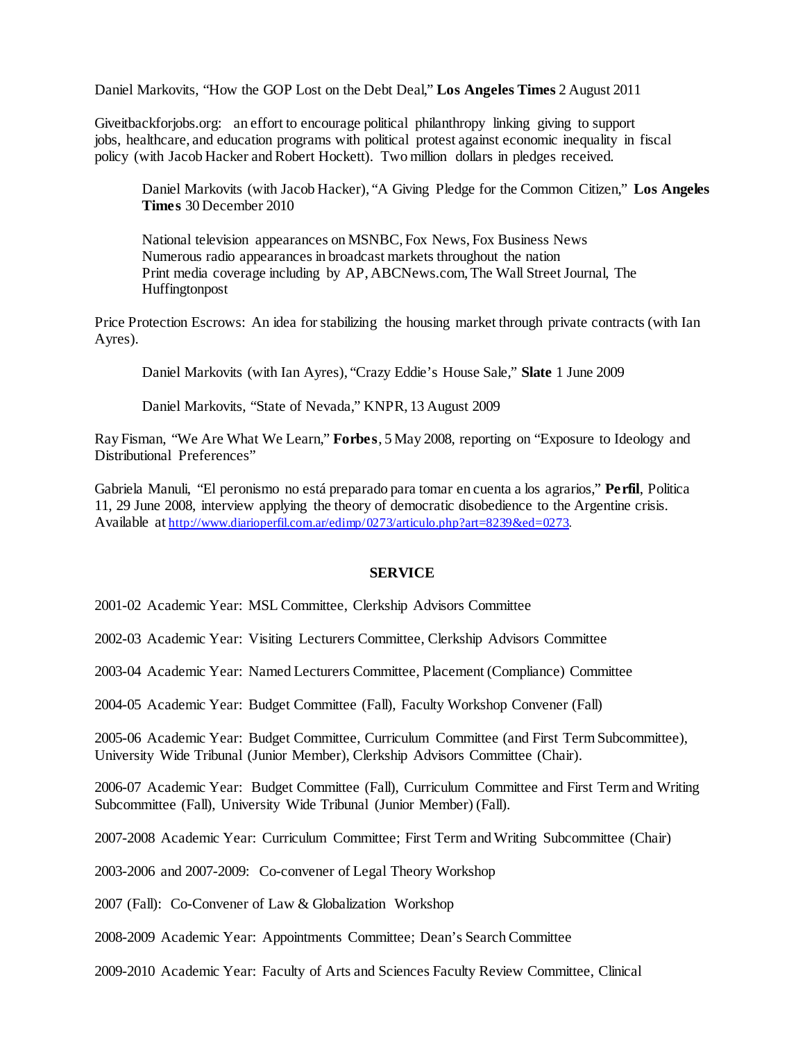Daniel Markovits, "How the GOP Lost on the Debt Deal," **Los Angeles Times** 2 August 2011

Giveitbackforjobs.org: an effort to encourage political philanthropy linking giving to support jobs, healthcare, and education programs with political protest against economic inequality in fiscal policy (with Jacob Hacker and Robert Hockett). Two million dollars in pledges received.

Daniel Markovits (with Jacob Hacker), "A Giving Pledge for the Common Citizen," **Los Angeles Times** 30 December 2010

National television appearances on MSNBC, Fox News, Fox Business News Numerous radio appearances in broadcast markets throughout the nation Print media coverage including by AP, ABCNews.com, The Wall Street Journal, The Huffingtonpost

Price Protection Escrows: An idea for stabilizing the housing market through private contracts (with Ian Ayres).

Daniel Markovits (with Ian Ayres), "Crazy Eddie's House Sale," **Slate** 1 June 2009

Daniel Markovits, "State of Nevada," KNPR, 13 August 2009

Ray Fisman, "We Are What We Learn," **Forbes**, 5 May 2008, reporting on "Exposure to Ideology and Distributional Preferences"

Gabriela Manuli, "El peronismo no está preparado para tomar en cuenta a los agrarios," **Perfil**, Politica 11, 29 June 2008, interview applying the theory of democratic disobedience to the Argentine crisis. Available a[t http://www.diarioperfil.com.ar/edimp/0273/articulo.php?art=8239&ed=0273.](http://www.diarioperfil.com.ar/edimp/0273/articulo.php?art=8239&ed=0273)

## **SERVICE**

2001-02 Academic Year: MSL Committee, Clerkship Advisors Committee

2002-03 Academic Year: Visiting Lecturers Committee, Clerkship Advisors Committee

2003-04 Academic Year: Named Lecturers Committee, Placement (Compliance) Committee

2004-05 Academic Year: Budget Committee (Fall), Faculty Workshop Convener (Fall)

2005-06 Academic Year: Budget Committee, Curriculum Committee (and First Term Subcommittee), University Wide Tribunal (Junior Member), Clerkship Advisors Committee (Chair).

2006-07 Academic Year: Budget Committee (Fall), Curriculum Committee and First Term and Writing Subcommittee (Fall), University Wide Tribunal (Junior Member) (Fall).

2007-2008 Academic Year: Curriculum Committee; First Term and Writing Subcommittee (Chair)

2003-2006 and 2007-2009: Co-convener of Legal Theory Workshop

2007 (Fall): Co-Convener of Law & Globalization Workshop

2008-2009 Academic Year: Appointments Committee; Dean's Search Committee

2009-2010 Academic Year: Faculty of Arts and Sciences Faculty Review Committee, Clinical